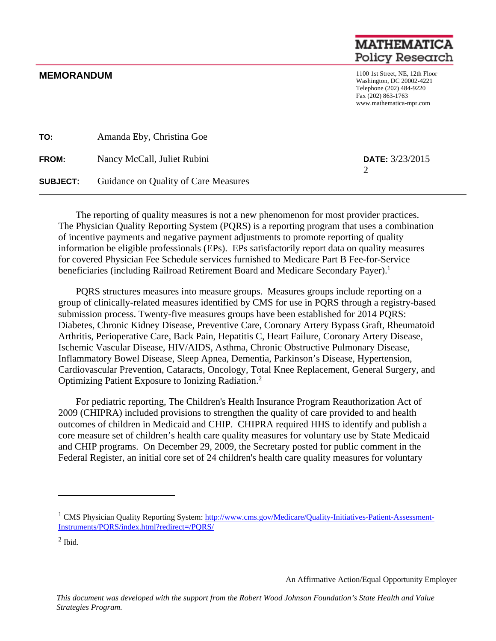## **MATHEMAT Policy Research**

**MEMORANDUM** 1100 1st Street, NE, 12th Floor Washington, DC 20002-4221 Telephone (202) 484-9220 Fax (202) 863-1763 www.mathematica-mpr.com

| TO:             | Amanda Eby, Christina Goe            |                        |
|-----------------|--------------------------------------|------------------------|
| <b>FROM:</b>    | Nancy McCall, Juliet Rubini          | <b>DATE:</b> 3/23/2015 |
| <b>SUBJECT:</b> | Guidance on Quality of Care Measures |                        |

The reporting of quality measures is not a new phenomenon for most provider practices. The Physician Quality Reporting System (PQRS) is a reporting program that uses a combination of incentive payments and negative payment adjustments to promote reporting of quality information be eligible professionals (EPs). EPs satisfactorily report data on quality measures for covered Physician Fee Schedule services furnished to Medicare Part B Fee-for-Service beneficiaries (including Railroad Retirement Board and Medicare Secondary Payer).<sup>1</sup>

PQRS structures measures into measure groups. Measures groups include reporting on a group of clinically-related measures identified by CMS for use in PQRS through a registry-based submission process. Twenty-five measures groups have been established for 2014 PQRS: Diabetes, Chronic Kidney Disease, Preventive Care, Coronary Artery Bypass Graft, Rheumatoid Arthritis, Perioperative Care, Back Pain, Hepatitis C, Heart Failure, Coronary Artery Disease, Ischemic Vascular Disease, HIV/AIDS, Asthma, Chronic Obstructive Pulmonary Disease, Inflammatory Bowel Disease, Sleep Apnea, Dementia, Parkinson's Disease, Hypertension, Cardiovascular Prevention, Cataracts, Oncology, Total Knee Replacement, General Surgery, and Optimizing Patient Exposure to Ionizing Radiation.<sup>2</sup>

For pediatric reporting, The Children's Health Insurance Program Reauthorization Act of 2009 (CHIPRA) included provisions to strengthen the quality of care provided to and health outcomes of children in Medicaid and CHIP. CHIPRA required HHS to identify and publish a core measure set of children's health care quality measures for voluntary use by State Medicaid and CHIP programs. On December 29, 2009, the Secretary posted for public comment in the Federal Register, an initial core set of 24 children's health care quality measures for voluntary

 $\overline{a}$ 

An Affirmative Action/Equal Opportunity Employer

<sup>&</sup>lt;sup>1</sup> CMS Physician Quality Reporting System: http://www.cms.gov/Medicare/Quality-Initiatives-Patient-Assessment-Instruments/PQRS/index.html?redirect=/PQRS/

 $<sup>2</sup>$  Ibid.</sup>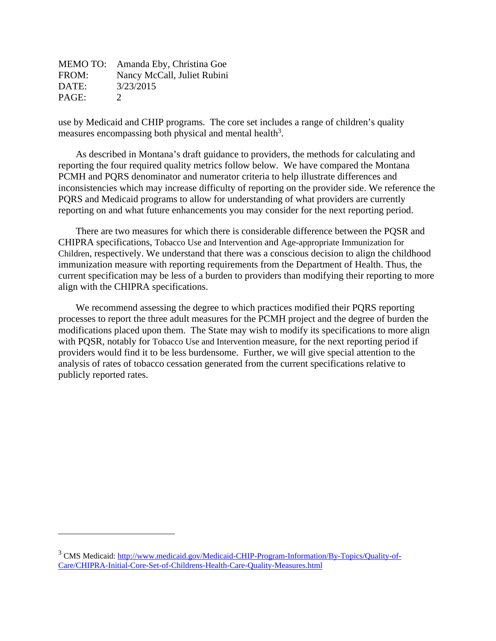|       | MEMO TO: Amanda Eby, Christina Goe |
|-------|------------------------------------|
| FROM: | Nancy McCall, Juliet Rubini        |
| DATE: | 3/23/2015                          |
| PAGE: | $\mathcal{D}$                      |

 $\overline{a}$ 

use by Medicaid and CHIP programs. The core set includes a range of children's quality measures encompassing both physical and mental health<sup>3</sup>.

As described in Montana's draft guidance to providers, the methods for calculating and reporting the four required quality metrics follow below. We have compared the Montana PCMH and PQRS denominator and numerator criteria to help illustrate differences and inconsistencies which may increase difficulty of reporting on the provider side. We reference the PQRS and Medicaid programs to allow for understanding of what providers are currently reporting on and what future enhancements you may consider for the next reporting period.

There are two measures for which there is considerable difference between the PQSR and CHIPRA specifications, Tobacco Use and Intervention and Age-appropriate Immunization for Children, respectively. We understand that there was a conscious decision to align the childhood immunization measure with reporting requirements from the Department of Health. Thus, the current specification may be less of a burden to providers than modifying their reporting to more align with the CHIPRA specifications.

We recommend assessing the degree to which practices modified their PQRS reporting processes to report the three adult measures for the PCMH project and the degree of burden the modifications placed upon them. The State may wish to modify its specifications to more align with PQSR, notably for Tobacco Use and Intervention measure, for the next reporting period if providers would find it to be less burdensome. Further, we will give special attention to the analysis of rates of tobacco cessation generated from the current specifications relative to publicly reported rates.

<sup>&</sup>lt;sup>3</sup> CMS Medicaid: http://www.medicaid.gov/Medicaid-CHIP-Program-Information/By-Topics/Quality-of-Care/CHIPRA-Initial-Core-Set-of-Childrens-Health-Care-Quality-Measures.html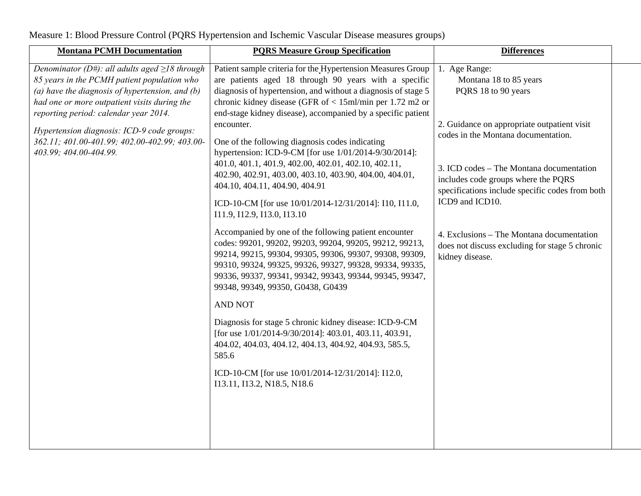Measure 1: Blood Pressure Control (PQRS Hypertension and Ischemic Vascular Disease measures groups)

| <b>Montana PCMH Documentation</b>                                                                                                                                                                                                                                                                                                                                         | <b>PQRS Measure Group Specification</b>                                                                                                                                                                                                                                                                                                                                                                                                                                                                                                                                                                                                                                                                                                                                                                                                                                                                                                                                                                                                                                                                                                                                                                                                        | <b>Differences</b>                                                                                                                                                                                                                                                                                                                                                                                                              |  |
|---------------------------------------------------------------------------------------------------------------------------------------------------------------------------------------------------------------------------------------------------------------------------------------------------------------------------------------------------------------------------|------------------------------------------------------------------------------------------------------------------------------------------------------------------------------------------------------------------------------------------------------------------------------------------------------------------------------------------------------------------------------------------------------------------------------------------------------------------------------------------------------------------------------------------------------------------------------------------------------------------------------------------------------------------------------------------------------------------------------------------------------------------------------------------------------------------------------------------------------------------------------------------------------------------------------------------------------------------------------------------------------------------------------------------------------------------------------------------------------------------------------------------------------------------------------------------------------------------------------------------------|---------------------------------------------------------------------------------------------------------------------------------------------------------------------------------------------------------------------------------------------------------------------------------------------------------------------------------------------------------------------------------------------------------------------------------|--|
| Denominator (D#): all adults aged $\geq$ 18 through<br>85 years in the PCMH patient population who<br>(a) have the diagnosis of hypertension, and $(b)$<br>had one or more outpatient visits during the<br>reporting period: calendar year 2014.<br>Hypertension diagnosis: ICD-9 code groups:<br>362.11; 401.00-401.99; 402.00-402.99; 403.00-<br>403.99; 404.00-404.99. | Patient sample criteria for the Hypertension Measures Group<br>are patients aged 18 through 90 years with a specific<br>diagnosis of hypertension, and without a diagnosis of stage 5<br>chronic kidney disease (GFR of $<$ 15ml/min per 1.72 m2 or<br>end-stage kidney disease), accompanied by a specific patient<br>encounter.<br>One of the following diagnosis codes indicating<br>hypertension: ICD-9-CM [for use 1/01/2014-9/30/2014]:<br>401.0, 401.1, 401.9, 402.00, 402.01, 402.10, 402.11,<br>402.90, 402.91, 403.00, 403.10, 403.90, 404.00, 404.01,<br>404.10, 404.11, 404.90, 404.91<br>ICD-10-CM [for use 10/01/2014-12/31/2014]: I10, I11.0,<br>I11.9, I12.9, I13.0, I13.10<br>Accompanied by one of the following patient encounter<br>codes: 99201, 99202, 99203, 99204, 99205, 99212, 99213,<br>99214, 99215, 99304, 99305, 99306, 99307, 99308, 99309,<br>99310, 99324, 99325, 99326, 99327, 99328, 99334, 99335,<br>99336, 99337, 99341, 99342, 99343, 99344, 99345, 99347,<br>99348, 99349, 99350, G0438, G0439<br><b>AND NOT</b><br>Diagnosis for stage 5 chronic kidney disease: ICD-9-CM<br>[for use 1/01/2014-9/30/2014]: 403.01, 403.11, 403.91,<br>404.02, 404.03, 404.12, 404.13, 404.92, 404.93, 585.5,<br>585.6 | 1. Age Range:<br>Montana 18 to 85 years<br>PQRS 18 to 90 years<br>2. Guidance on appropriate outpatient visit<br>codes in the Montana documentation.<br>3. ICD codes - The Montana documentation<br>includes code groups where the PQRS<br>specifications include specific codes from both<br>ICD9 and ICD10.<br>4. Exclusions – The Montana documentation<br>does not discuss excluding for stage 5 chronic<br>kidney disease. |  |
|                                                                                                                                                                                                                                                                                                                                                                           |                                                                                                                                                                                                                                                                                                                                                                                                                                                                                                                                                                                                                                                                                                                                                                                                                                                                                                                                                                                                                                                                                                                                                                                                                                                |                                                                                                                                                                                                                                                                                                                                                                                                                                 |  |
|                                                                                                                                                                                                                                                                                                                                                                           | ICD-10-CM [for use 10/01/2014-12/31/2014]: I12.0,<br>I13.11, I13.2, N18.5, N18.6                                                                                                                                                                                                                                                                                                                                                                                                                                                                                                                                                                                                                                                                                                                                                                                                                                                                                                                                                                                                                                                                                                                                                               |                                                                                                                                                                                                                                                                                                                                                                                                                                 |  |
|                                                                                                                                                                                                                                                                                                                                                                           |                                                                                                                                                                                                                                                                                                                                                                                                                                                                                                                                                                                                                                                                                                                                                                                                                                                                                                                                                                                                                                                                                                                                                                                                                                                |                                                                                                                                                                                                                                                                                                                                                                                                                                 |  |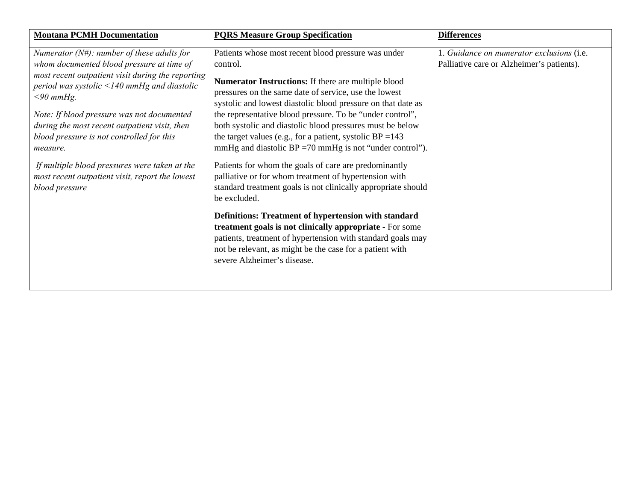| <b>Montana PCMH Documentation</b>                                                                                                                                                                                                                                                                                                                                                                                                                                                                  | <b>PQRS Measure Group Specification</b>                                                                                                                                                                                                                                                                                                                                                                                                                                                                                                                                                                                                                                                                                                                                                                                                                                                                                                                                                 | <b>Differences</b>                                                                     |
|----------------------------------------------------------------------------------------------------------------------------------------------------------------------------------------------------------------------------------------------------------------------------------------------------------------------------------------------------------------------------------------------------------------------------------------------------------------------------------------------------|-----------------------------------------------------------------------------------------------------------------------------------------------------------------------------------------------------------------------------------------------------------------------------------------------------------------------------------------------------------------------------------------------------------------------------------------------------------------------------------------------------------------------------------------------------------------------------------------------------------------------------------------------------------------------------------------------------------------------------------------------------------------------------------------------------------------------------------------------------------------------------------------------------------------------------------------------------------------------------------------|----------------------------------------------------------------------------------------|
| Numerator $(N#)$ : number of these adults for<br>whom documented blood pressure at time of<br>most recent outpatient visit during the reporting<br>period was systolic $\leq$ 140 mmHg and diastolic<br>$<$ 90 mmHg.<br>Note: If blood pressure was not documented<br>during the most recent outpatient visit, then<br>blood pressure is not controlled for this<br>measure.<br>If multiple blood pressures were taken at the<br>most recent outpatient visit, report the lowest<br>blood pressure | Patients whose most recent blood pressure was under<br>control.<br>Numerator Instructions: If there are multiple blood<br>pressures on the same date of service, use the lowest<br>systolic and lowest diastolic blood pressure on that date as<br>the representative blood pressure. To be "under control",<br>both systolic and diastolic blood pressures must be below<br>the target values (e.g., for a patient, systolic $BP = 143$<br>mmHg and diastolic $BP = 70$ mmHg is not "under control").<br>Patients for whom the goals of care are predominantly<br>palliative or for whom treatment of hypertension with<br>standard treatment goals is not clinically appropriate should<br>be excluded.<br>Definitions: Treatment of hypertension with standard<br>treatment goals is not clinically appropriate - For some<br>patients, treatment of hypertension with standard goals may<br>not be relevant, as might be the case for a patient with<br>severe Alzheimer's disease. | 1. Guidance on numerator exclusions (i.e.<br>Palliative care or Alzheimer's patients). |
|                                                                                                                                                                                                                                                                                                                                                                                                                                                                                                    |                                                                                                                                                                                                                                                                                                                                                                                                                                                                                                                                                                                                                                                                                                                                                                                                                                                                                                                                                                                         |                                                                                        |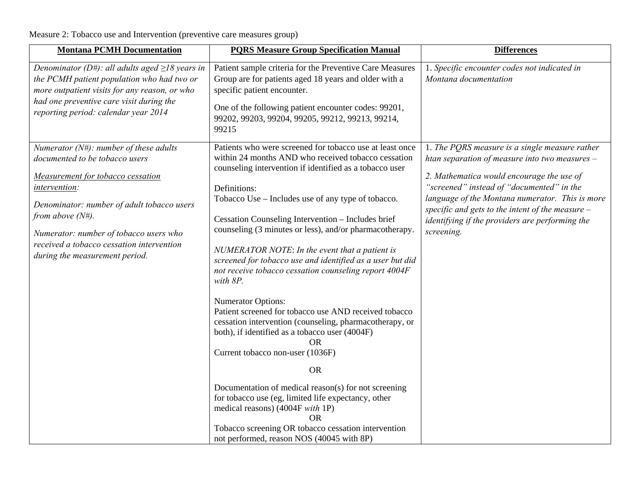Measure 2: Tobacco use and Intervention (preventive care measures group)

| <b>Montana PCMH Documentation</b>                                                                                                                                                                                                                                                                                                       | <b>PQRS Measure Group Specification Manual</b>                                                                                                                                                                                                                                                                                                                                                                                                                                                                                                                                                                                                                                                                                                                                                                                                                                                                                                                                                                                                                                       | <b>Differences</b>                                                                                                                                                                                                                                                                                                                                                     |
|-----------------------------------------------------------------------------------------------------------------------------------------------------------------------------------------------------------------------------------------------------------------------------------------------------------------------------------------|--------------------------------------------------------------------------------------------------------------------------------------------------------------------------------------------------------------------------------------------------------------------------------------------------------------------------------------------------------------------------------------------------------------------------------------------------------------------------------------------------------------------------------------------------------------------------------------------------------------------------------------------------------------------------------------------------------------------------------------------------------------------------------------------------------------------------------------------------------------------------------------------------------------------------------------------------------------------------------------------------------------------------------------------------------------------------------------|------------------------------------------------------------------------------------------------------------------------------------------------------------------------------------------------------------------------------------------------------------------------------------------------------------------------------------------------------------------------|
| Denominator (D#): all adults aged $\geq$ 18 years in<br>the PCMH patient population who had two or<br>more outpatient visits for any reason, or who<br>had one preventive care visit during the<br>reporting period: calendar year 2014                                                                                                 | Patient sample criteria for the Preventive Care Measures<br>Group are for patients aged 18 years and older with a<br>specific patient encounter.<br>One of the following patient encounter codes: 99201,<br>99202, 99203, 99204, 99205, 99212, 99213, 99214,<br>99215                                                                                                                                                                                                                                                                                                                                                                                                                                                                                                                                                                                                                                                                                                                                                                                                                | 1. Specific encounter codes not indicated in<br>Montana documentation                                                                                                                                                                                                                                                                                                  |
| Numerator ( $N#$ ): number of these adults<br>documented to be tobacco users<br>Measurement for tobacco cessation<br><i>intervention:</i><br>Denominator: number of adult tobacco users<br>from above $(N#)$ .<br>Numerator: number of tobacco users who<br>received a tobacco cessation intervention<br>during the measurement period. | Patients who were screened for tobacco use at least once<br>within 24 months AND who received tobacco cessation<br>counseling intervention if identified as a tobacco user<br>Definitions:<br>Tobacco Use – Includes use of any type of tobacco.<br>Cessation Counseling Intervention - Includes brief<br>counseling (3 minutes or less), and/or pharmacotherapy.<br>NUMERATOR NOTE: In the event that a patient is<br>screened for tobacco use and identified as a user but did<br>not receive tobacco cessation counseling report 4004F<br>with 8P.<br><b>Numerator Options:</b><br>Patient screened for tobacco use AND received tobacco<br>cessation intervention (counseling, pharmacotherapy, or<br>both), if identified as a tobacco user (4004F)<br>OR.<br>Current tobacco non-user (1036F)<br><b>OR</b><br>Documentation of medical reason(s) for not screening<br>for tobacco use (eg, limited life expectancy, other<br>medical reasons) (4004F with 1P)<br><b>OR</b><br>Tobacco screening OR tobacco cessation intervention<br>not performed, reason NOS (40045 with 8P) | 1. The PQRS measure is a single measure rather<br>htan separation of measure into two measures $-$<br>2. Mathematica would encourage the use of<br>"screened" instead of "documented" in the<br>language of the Montana numerator. This is more<br>specific and gets to the intent of the measure $-$<br>identifying if the providers are performing the<br>screening. |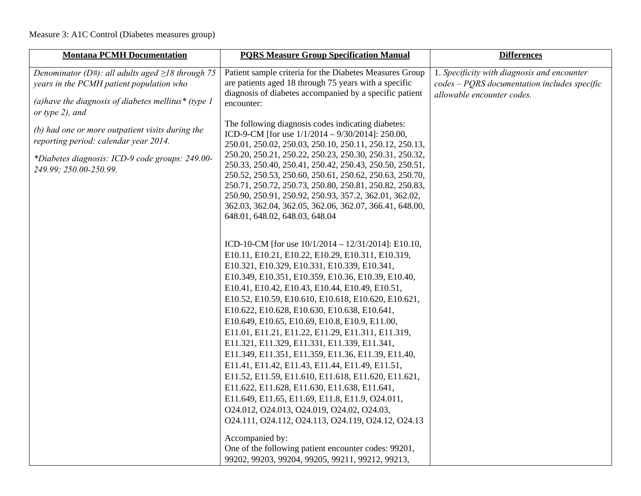## Measure 3: A1C Control (Diabetes measures group)

| <b>Montana PCMH Documentation</b>                                                                                                                                               | <b>PQRS Measure Group Specification Manual</b>                                                                                                                                                                                                                                                                                                                                                                                                                                                                                                                                                                                                                                                                                                                                                                                                                                                                               | <b>Differences</b>                                                                                                          |
|---------------------------------------------------------------------------------------------------------------------------------------------------------------------------------|------------------------------------------------------------------------------------------------------------------------------------------------------------------------------------------------------------------------------------------------------------------------------------------------------------------------------------------------------------------------------------------------------------------------------------------------------------------------------------------------------------------------------------------------------------------------------------------------------------------------------------------------------------------------------------------------------------------------------------------------------------------------------------------------------------------------------------------------------------------------------------------------------------------------------|-----------------------------------------------------------------------------------------------------------------------------|
| Denominator (D#): all adults aged $\geq$ 18 through 75<br>years in the PCMH patient population who<br>(a) have the diagnosis of diabetes mellitus* (type $1$<br>or type 2), and | Patient sample criteria for the Diabetes Measures Group<br>are patients aged 18 through 75 years with a specific<br>diagnosis of diabetes accompanied by a specific patient<br>encounter:                                                                                                                                                                                                                                                                                                                                                                                                                                                                                                                                                                                                                                                                                                                                    | 1. Specificity with diagnosis and encounter<br>$codes - PORS documentation$ includes specific<br>allowable encounter codes. |
| (b) had one or more outpatient visits during the<br>reporting period: calendar year 2014.<br>*Diabetes diagnosis: ICD-9 code groups: 249.00-<br>249.99; 250.00-250.99.          | The following diagnosis codes indicating diabetes:<br>ICD-9-CM [for use $1/1/2014 - 9/30/2014$ ]: 250.00,<br>250.01, 250.02, 250.03, 250.10, 250.11, 250.12, 250.13,<br>250.20, 250.21, 250.22, 250.23, 250.30, 250.31, 250.32,<br>250.33, 250.40, 250.41, 250.42, 250.43, 250.50, 250.51,<br>250.52, 250.53, 250.60, 250.61, 250.62, 250.63, 250.70,<br>250.71, 250.72, 250.73, 250.80, 250.81, 250.82, 250.83,<br>250.90, 250.91, 250.92, 250.93, 357.2, 362.01, 362.02,<br>362.03, 362.04, 362.05, 362.06, 362.07, 366.41, 648.00,<br>648.01, 648.02, 648.03, 648.04                                                                                                                                                                                                                                                                                                                                                      |                                                                                                                             |
|                                                                                                                                                                                 | ICD-10-CM [for use $10/1/2014 - 12/31/2014$ ]: E10.10,<br>E10.11, E10.21, E10.22, E10.29, E10.311, E10.319,<br>E10.321, E10.329, E10.331, E10.339, E10.341,<br>E10.349, E10.351, E10.359, E10.36, E10.39, E10.40,<br>E10.41, E10.42, E10.43, E10.44, E10.49, E10.51,<br>E10.52, E10.59, E10.610, E10.618, E10.620, E10.621,<br>E10.622, E10.628, E10.630, E10.638, E10.641,<br>E10.649, E10.65, E10.69, E10.8, E10.9, E11.00,<br>E11.01, E11.21, E11.22, E11.29, E11.311, E11.319,<br>E11.321, E11.329, E11.331, E11.339, E11.341,<br>E11.349, E11.351, E11.359, E11.36, E11.39, E11.40,<br>E11.41, E11.42, E11.43, E11.44, E11.49, E11.51,<br>E11.52, E11.59, E11.610, E11.618, E11.620, E11.621,<br>E11.622, E11.628, E11.630, E11.638, E11.641,<br>E11.649, E11.65, E11.69, E11.8, E11.9, O24.011,<br>024.012, 024.013, 024.019, 024.02, 024.03,<br>024.111, 024.112, 024.113, 024.119, 024.12, 024.13<br>Accompanied by: |                                                                                                                             |
|                                                                                                                                                                                 | One of the following patient encounter codes: 99201,<br>99202, 99203, 99204, 99205, 99211, 99212, 99213,                                                                                                                                                                                                                                                                                                                                                                                                                                                                                                                                                                                                                                                                                                                                                                                                                     |                                                                                                                             |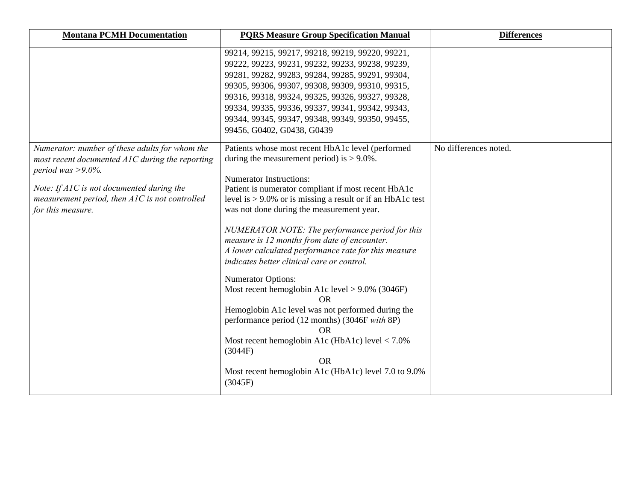| <b>Montana PCMH Documentation</b>                                                                                                                                                                                                              | <b>PQRS Measure Group Specification Manual</b>                                                                                                                                                                                                                                                                                                                                                                                                                                                                                                                                                                                                                                                                                                                                                                                                                                          | <b>Differences</b>    |
|------------------------------------------------------------------------------------------------------------------------------------------------------------------------------------------------------------------------------------------------|-----------------------------------------------------------------------------------------------------------------------------------------------------------------------------------------------------------------------------------------------------------------------------------------------------------------------------------------------------------------------------------------------------------------------------------------------------------------------------------------------------------------------------------------------------------------------------------------------------------------------------------------------------------------------------------------------------------------------------------------------------------------------------------------------------------------------------------------------------------------------------------------|-----------------------|
|                                                                                                                                                                                                                                                | 99214, 99215, 99217, 99218, 99219, 99220, 99221,<br>99222, 99223, 99231, 99232, 99233, 99238, 99239,<br>99281, 99282, 99283, 99284, 99285, 99291, 99304,<br>99305, 99306, 99307, 99308, 99309, 99310, 99315,<br>99316, 99318, 99324, 99325, 99326, 99327, 99328,<br>99334, 99335, 99336, 99337, 99341, 99342, 99343,<br>99344, 99345, 99347, 99348, 99349, 99350, 99455,<br>99456, G0402, G0438, G0439                                                                                                                                                                                                                                                                                                                                                                                                                                                                                  |                       |
| Numerator: number of these adults for whom the<br>most recent documented AIC during the reporting<br>period was $>9.0\%$ .<br>Note: If A1C is not documented during the<br>measurement period, then A1C is not controlled<br>for this measure. | Patients whose most recent HbA1c level (performed<br>during the measurement period) is $> 9.0\%$ .<br><b>Numerator Instructions:</b><br>Patient is numerator compliant if most recent HbA1c<br>level is $> 9.0\%$ or is missing a result or if an HbA1c test<br>was not done during the measurement year.<br>NUMERATOR NOTE: The performance period for this<br>measure is 12 months from date of encounter.<br>A lower calculated performance rate for this measure<br>indicates better clinical care or control.<br><b>Numerator Options:</b><br>Most recent hemoglobin A1c level $> 9.0\%$ (3046F)<br><b>OR</b><br>Hemoglobin A1c level was not performed during the<br>performance period (12 months) (3046F with 8P)<br><b>OR</b><br>Most recent hemoglobin A1c (HbA1c) level $< 7.0\%$<br>(3044F)<br><b>OR</b><br>Most recent hemoglobin A1c (HbA1c) level 7.0 to 9.0%<br>(3045F) | No differences noted. |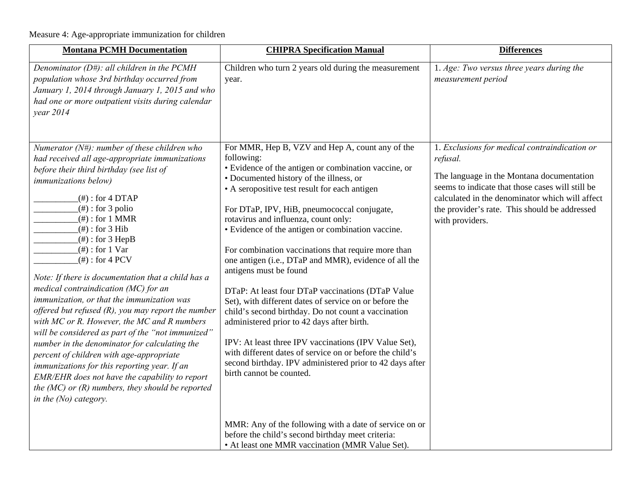Measure 4: Age-appropriate immunization for children

| <b>Montana PCMH Documentation</b>                                                                                                                                                                                                                                                                                                                                                                                                                                                                                                                                                                                                                                                                                                                                                                                                                                                                                                        | <b>CHIPRA Specification Manual</b>                                                                                                                                                                                                                                                                                                                                                                                                                                                                                                                                                                                                                                                                                                                                                                                                                                                                                                       | <b>Differences</b>                                                                                                                                                                                                                                                                |
|------------------------------------------------------------------------------------------------------------------------------------------------------------------------------------------------------------------------------------------------------------------------------------------------------------------------------------------------------------------------------------------------------------------------------------------------------------------------------------------------------------------------------------------------------------------------------------------------------------------------------------------------------------------------------------------------------------------------------------------------------------------------------------------------------------------------------------------------------------------------------------------------------------------------------------------|------------------------------------------------------------------------------------------------------------------------------------------------------------------------------------------------------------------------------------------------------------------------------------------------------------------------------------------------------------------------------------------------------------------------------------------------------------------------------------------------------------------------------------------------------------------------------------------------------------------------------------------------------------------------------------------------------------------------------------------------------------------------------------------------------------------------------------------------------------------------------------------------------------------------------------------|-----------------------------------------------------------------------------------------------------------------------------------------------------------------------------------------------------------------------------------------------------------------------------------|
| Denominator ( $D#$ ): all children in the PCMH<br>population whose 3rd birthday occurred from<br>January 1, 2014 through January 1, 2015 and who<br>had one or more outpatient visits during calendar<br>year 2014                                                                                                                                                                                                                                                                                                                                                                                                                                                                                                                                                                                                                                                                                                                       | Children who turn 2 years old during the measurement<br>year.                                                                                                                                                                                                                                                                                                                                                                                                                                                                                                                                                                                                                                                                                                                                                                                                                                                                            | 1. Age: Two versus three years during the<br>measurement period                                                                                                                                                                                                                   |
| Numerator $(N#)$ : number of these children who<br>had received all age-appropriate immunizations<br>before their third birthday (see list of<br><i>immunizations below)</i><br>$(#):$ for 4 DTAP<br>$(#):$ for 3 polio<br>$(#):$ for 1 MMR<br>$($ # $)$ : for 3 Hib<br>$($ # $)$ : for 3 HepB<br>$(\#)$ : for 1 Var<br>$($ # $)$ : for 4 PCV<br>Note: If there is documentation that a child has a<br>medical contraindication (MC) for an<br>immunization, or that the immunization was<br>offered but refused $(R)$ , you may report the number<br>with MC or R. However, the MC and R numbers<br>will be considered as part of the "not immunized"<br>number in the denominator for calculating the<br>percent of children with age-appropriate<br>immunizations for this reporting year. If an<br>EMR/EHR does not have the capability to report<br>the $(MC)$ or $(R)$ numbers, they should be reported<br>in the $(No)$ category. | For MMR, Hep B, VZV and Hep A, count any of the<br>following:<br>• Evidence of the antigen or combination vaccine, or<br>• Documented history of the illness, or<br>• A seropositive test result for each antigen<br>For DTaP, IPV, HiB, pneumococcal conjugate,<br>rotavirus and influenza, count only:<br>• Evidence of the antigen or combination vaccine.<br>For combination vaccinations that require more than<br>one antigen (i.e., DTaP and MMR), evidence of all the<br>antigens must be found<br>DTaP: At least four DTaP vaccinations (DTaP Value<br>Set), with different dates of service on or before the<br>child's second birthday. Do not count a vaccination<br>administered prior to 42 days after birth.<br>IPV: At least three IPV vaccinations (IPV Value Set),<br>with different dates of service on or before the child's<br>second birthday. IPV administered prior to 42 days after<br>birth cannot be counted. | 1. Exclusions for medical contraindication or<br>refusal.<br>The language in the Montana documentation<br>seems to indicate that those cases will still be<br>calculated in the denominator which will affect<br>the provider's rate. This should be addressed<br>with providers. |
|                                                                                                                                                                                                                                                                                                                                                                                                                                                                                                                                                                                                                                                                                                                                                                                                                                                                                                                                          | MMR: Any of the following with a date of service on or<br>before the child's second birthday meet criteria:<br>• At least one MMR vaccination (MMR Value Set).                                                                                                                                                                                                                                                                                                                                                                                                                                                                                                                                                                                                                                                                                                                                                                           |                                                                                                                                                                                                                                                                                   |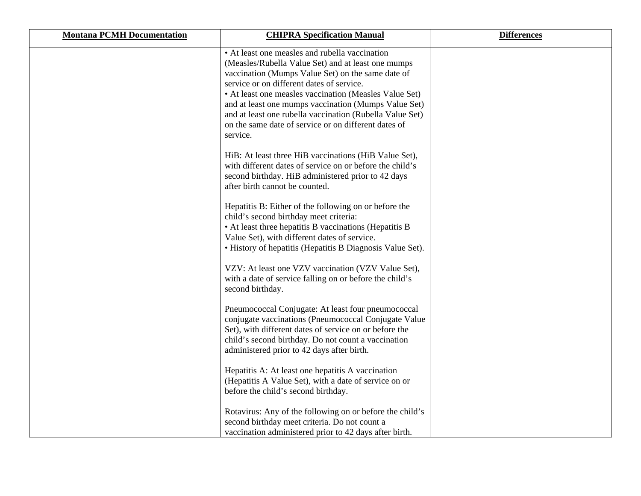| <b>Montana PCMH Documentation</b> | <b>CHIPRA Specification Manual</b>                                                                                                                                                                                                                                                                                                                                                                                                                       | <b>Differences</b> |
|-----------------------------------|----------------------------------------------------------------------------------------------------------------------------------------------------------------------------------------------------------------------------------------------------------------------------------------------------------------------------------------------------------------------------------------------------------------------------------------------------------|--------------------|
|                                   | • At least one measles and rubella vaccination<br>(Measles/Rubella Value Set) and at least one mumps<br>vaccination (Mumps Value Set) on the same date of<br>service or on different dates of service.<br>• At least one measles vaccination (Measles Value Set)<br>and at least one mumps vaccination (Mumps Value Set)<br>and at least one rubella vaccination (Rubella Value Set)<br>on the same date of service or on different dates of<br>service. |                    |
|                                   | HiB: At least three HiB vaccinations (HiB Value Set),<br>with different dates of service on or before the child's<br>second birthday. HiB administered prior to 42 days<br>after birth cannot be counted.                                                                                                                                                                                                                                                |                    |
|                                   | Hepatitis B: Either of the following on or before the<br>child's second birthday meet criteria:<br>• At least three hepatitis B vaccinations (Hepatitis B<br>Value Set), with different dates of service.<br>• History of hepatitis (Hepatitis B Diagnosis Value Set).                                                                                                                                                                                   |                    |
|                                   | VZV: At least one VZV vaccination (VZV Value Set),<br>with a date of service falling on or before the child's<br>second birthday.                                                                                                                                                                                                                                                                                                                        |                    |
|                                   | Pneumococcal Conjugate: At least four pneumococcal<br>conjugate vaccinations (Pneumococcal Conjugate Value<br>Set), with different dates of service on or before the<br>child's second birthday. Do not count a vaccination<br>administered prior to 42 days after birth.                                                                                                                                                                                |                    |
|                                   | Hepatitis A: At least one hepatitis A vaccination<br>(Hepatitis A Value Set), with a date of service on or<br>before the child's second birthday.                                                                                                                                                                                                                                                                                                        |                    |
|                                   | Rotavirus: Any of the following on or before the child's<br>second birthday meet criteria. Do not count a<br>vaccination administered prior to 42 days after birth.                                                                                                                                                                                                                                                                                      |                    |